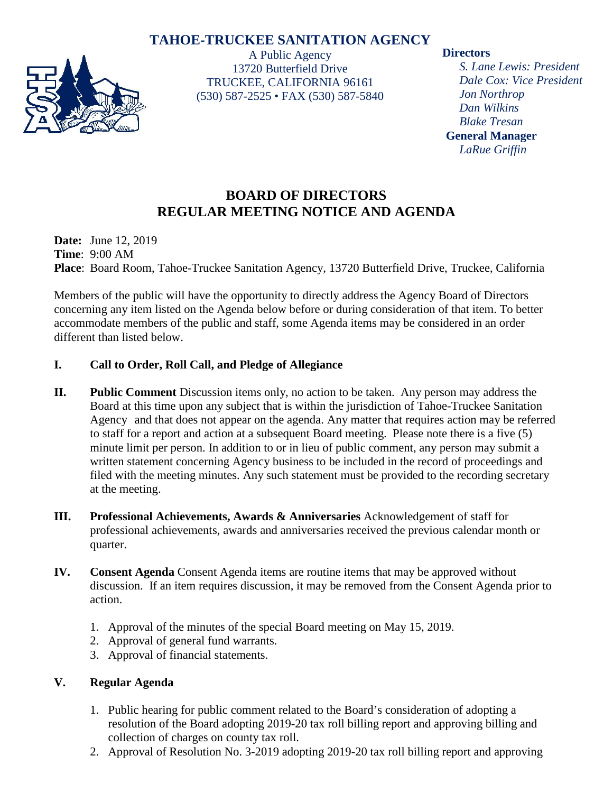# **TAHOE-TRUCKEE SANITATION AGENCY**



A Public Agency 13720 Butterfield Drive TRUCKEE, CALIFORNIA 96161 (530) 587-2525 • FAX (530) 587-5840

#### **Directors**

*S. Lane Lewis: President Dale Cox: Vice President Jon Northrop Dan Wilkins Blake Tresan* **General Manager** *LaRue Griffin*

# **BOARD OF DIRECTORS REGULAR MEETING NOTICE AND AGENDA**

**Date:** June 12, 2019 **Time**: 9:00 AM **Place**: Board Room, Tahoe-Truckee Sanitation Agency, 13720 Butterfield Drive, Truckee, California

Members of the public will have the opportunity to directly address the Agency Board of Directors concerning any item listed on the Agenda below before or during consideration of that item. To better accommodate members of the public and staff, some Agenda items may be considered in an order different than listed below.

## **I. Call to Order, Roll Call, and Pledge of Allegiance**

- **II. Public Comment** Discussion items only, no action to be taken. Any person may address the Board at this time upon any subject that is within the jurisdiction of Tahoe-Truckee Sanitation Agency and that does not appear on the agenda. Any matter that requires action may be referred to staff for a report and action at a subsequent Board meeting. Please note there is a five (5) minute limit per person. In addition to or in lieu of public comment, any person may submit a written statement concerning Agency business to be included in the record of proceedings and filed with the meeting minutes. Any such statement must be provided to the recording secretary at the meeting.
- **III. Professional Achievements, Awards & Anniversaries** Acknowledgement of staff for professional achievements, awards and anniversaries received the previous calendar month or quarter.
- **IV. Consent Agenda** Consent Agenda items are routine items that may be approved without discussion. If an item requires discussion, it may be removed from the Consent Agenda prior to action.
	- 1. Approval of the minutes of the special Board meeting on May 15, 2019.
	- 2. Approval of general fund warrants.
	- 3. Approval of financial statements.

## **V. Regular Agenda**

- 1. Public hearing for public comment related to the Board's consideration of adopting a resolution of the Board adopting 2019-20 tax roll billing report and approving billing and collection of charges on county tax roll.
- 2. Approval of Resolution No. 3-2019 adopting 2019-20 tax roll billing report and approving